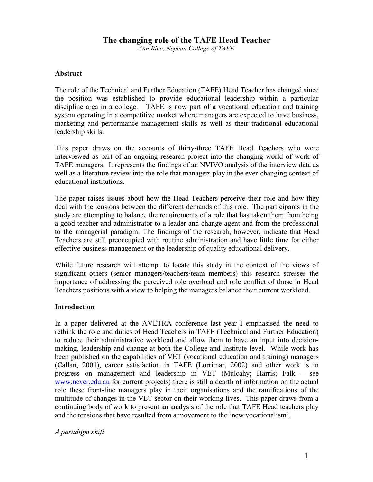# **The changing role of the TAFE Head Teacher**

*Ann Rice, Nepean College of TAFE*

#### **Abstract**

The role of the Technical and Further Education (TAFE) Head Teacher has changed since the position was established to provide educational leadership within a particular discipline area in a college. TAFE is now part of a vocational education and training system operating in a competitive market where managers are expected to have business, marketing and performance management skills as well as their traditional educational leadership skills.

This paper draws on the accounts of thirty-three TAFE Head Teachers who were interviewed as part of an ongoing research project into the changing world of work of TAFE managers. It represents the findings of an NVIVO analysis of the interview data as well as a literature review into the role that managers play in the ever-changing context of educational institutions.

The paper raises issues about how the Head Teachers perceive their role and how they deal with the tensions between the different demands of this role. The participants in the study are attempting to balance the requirements of a role that has taken them from being a good teacher and administrator to a leader and change agent and from the professional to the managerial paradigm. The findings of the research, however, indicate that Head Teachers are still preoccupied with routine administration and have little time for either effective business management or the leadership of quality educational delivery.

While future research will attempt to locate this study in the context of the views of significant others (senior managers/teachers/team members) this research stresses the importance of addressing the perceived role overload and role conflict of those in Head Teachers positions with a view to helping the managers balance their current workload.

#### **Introduction**

In a paper delivered at the AVETRA conference last year I emphasised the need to rethink the role and duties of Head Teachers in TAFE (Technical and Further Education) to reduce their administrative workload and allow them to have an input into decisionmaking, leadership and change at both the College and Institute level. While work has been published on the capabilities of VET (vocational education and training) managers (Callan, 2001), career satisfaction in TAFE (Lorrimar, 2002) and other work is in progress on management and leadership in VET (Mulcahy; Harris; Falk – see www.ncver.edu.au for current projects) there is still a dearth of information on the actual role these front-line managers play in their organisations and the ramifications of the multitude of changes in the VET sector on their working lives. This paper draws from a continuing body of work to present an analysis of the role that TAFE Head teachers play and the tensions that have resulted from a movement to the 'new vocationalism'.

*A paradigm shift*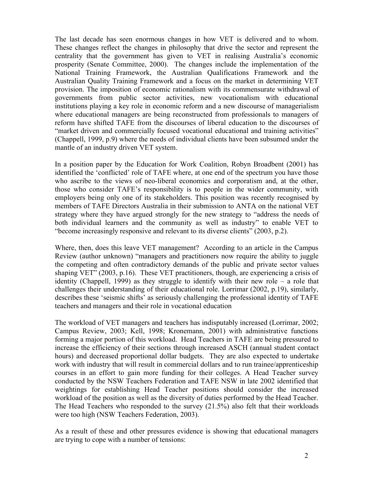The last decade has seen enormous changes in how VET is delivered and to whom. These changes reflect the changes in philosophy that drive the sector and represent the centrality that the government has given to VET in realising Australia's economic prosperity (Senate Committee, 2000). The changes include the implementation of the National Training Framework, the Australian Qualifications Framework and the Australian Quality Training Framework and a focus on the market in determining VET provision. The imposition of economic rationalism with its commensurate withdrawal of governments from public sector activities, new vocationalism with educational institutions playing a key role in economic reform and a new discourse of managerialism where educational managers are being reconstructed from professionals to managers of reform have shifted TAFE from the discourses of liberal education to the discourses of "market driven and commercially focused vocational educational and training activities" (Chappell, 1999, p.9) where the needs of individual clients have been subsumed under the mantle of an industry driven VET system.

In a position paper by the Education for Work Coalition, Robyn Broadbent (2001) has identified the 'conflicted' role of TAFE where, at one end of the spectrum you have those who ascribe to the views of neo-liberal economics and corporatism and, at the other, those who consider TAFE's responsibility is to people in the wider community, with employers being only one of its stakeholders. This position was recently recognised by members of TAFE Directors Australia in their submission to ANTA on the national VET strategy where they have argued strongly for the new strategy to "address the needs of both individual learners and the community as well as industry" to enable VET to "become increasingly responsive and relevant to its diverse clients" (2003, p.2).

Where, then, does this leave VET management? According to an article in the Campus Review (author unknown) "managers and practitioners now require the ability to juggle the competing and often contradictory demands of the public and private sector values shaping VET" (2003, p.16). These VET practitioners, though, are experiencing a crisis of identity (Chappell, 1999) as they struggle to identify with their new role – a role that challenges their understanding of their educational role. Lorrimar (2002, p.19), similarly, describes these 'seismic shifts' as seriously challenging the professional identity of TAFE teachers and managers and their role in vocational education

The workload of VET managers and teachers has indisputably increased (Lorrimar, 2002; Campus Review, 2003; Kell, 1998; Kronemann, 2001) with administrative functions forming a major portion of this workload. Head Teachers in TAFE are being pressured to increase the efficiency of their sections through increased ASCH (annual student contact hours) and decreased proportional dollar budgets. They are also expected to undertake work with industry that will result in commercial dollars and to run trainee/apprenticeship courses in an effort to gain more funding for their colleges. A Head Teacher survey conducted by the NSW Teachers Federation and TAFE NSW in late 2002 identified that weightings for establishing Head Teacher positions should consider the increased workload of the position as well as the diversity of duties performed by the Head Teacher. The Head Teachers who responded to the survey (21.5%) also felt that their workloads were too high (NSW Teachers Federation, 2003).

As a result of these and other pressures evidence is showing that educational managers are trying to cope with a number of tensions: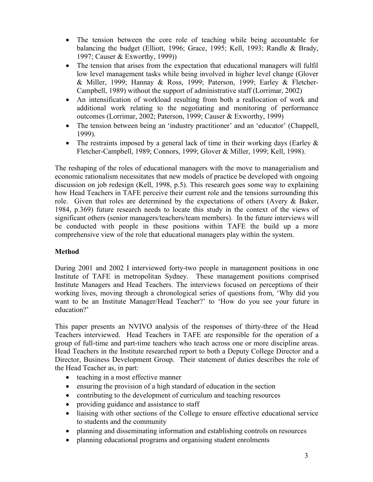- The tension between the core role of teaching while being accountable for balancing the budget (Elliott, 1996; Grace, 1995; Kell, 1993; Randle & Brady, 1997; Causer & Exworthy, 1999))
- The tension that arises from the expectation that educational managers will fulfil low level management tasks while being involved in higher level change (Glover & Miller, 1999; Hannay & Ross, 1999; Paterson, 1999; Earley & Fletcher-Campbell, 1989) without the support of administrative staff (Lorrimar, 2002)
- An intensification of workload resulting from both a reallocation of work and additional work relating to the negotiating and monitoring of performance outcomes (Lorrimar, 2002; Paterson, 1999; Causer & Exworthy, 1999)
- The tension between being an 'industry practitioner' and an 'educator' (Chappell, 1999).
- The restraints imposed by a general lack of time in their working days (Earley  $\&$ Fletcher-Campbell, 1989; Connors, 1999; Glover & Miller, 1999; Kell, 1998).

The reshaping of the roles of educational managers with the move to managerialism and economic rationalism necessitates that new models of practice be developed with ongoing discussion on job redesign (Kell, 1998, p.5). This research goes some way to explaining how Head Teachers in TAFE perceive their current role and the tensions surrounding this role. Given that roles are determined by the expectations of others (Avery & Baker, 1984, p.369) future research needs to locate this study in the context of the views of significant others (senior managers/teachers/team members). In the future interviews will be conducted with people in these positions within TAFE the build up a more comprehensive view of the role that educational managers play within the system.

# **Method**

During 2001 and 2002 I interviewed forty-two people in management positions in one Institute of TAFE in metropolitan Sydney. These management positions comprised Institute Managers and Head Teachers. The interviews focused on perceptions of their working lives, moving through a chronological series of questions from, 'Why did you want to be an Institute Manager/Head Teacher?' to 'How do you see your future in education?'

This paper presents an NVIVO analysis of the responses of thirty-three of the Head Teachers interviewed. Head Teachers in TAFE are responsible for the operation of a group of full-time and part-time teachers who teach across one or more discipline areas. Head Teachers in the Institute researched report to both a Deputy College Director and a Director, Business Development Group. Their statement of duties describes the role of the Head Teacher as, in part:

- teaching in a most effective manner
- ensuring the provision of a high standard of education in the section
- contributing to the development of curriculum and teaching resources
- providing guidance and assistance to staff
- liaising with other sections of the College to ensure effective educational service to students and the community
- planning and disseminating information and establishing controls on resources
- planning educational programs and organising student enrolments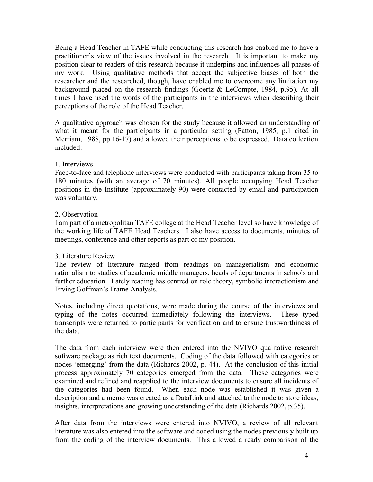Being a Head Teacher in TAFE while conducting this research has enabled me to have a practitioner's view of the issues involved in the research. It is important to make my position clear to readers of this research because it underpins and influences all phases of my work. Using qualitative methods that accept the subjective biases of both the researcher and the researched, though, have enabled me to overcome any limitation my background placed on the research findings (Goertz & LeCompte, 1984, p.95). At all times I have used the words of the participants in the interviews when describing their perceptions of the role of the Head Teacher.

A qualitative approach was chosen for the study because it allowed an understanding of what it meant for the participants in a particular setting (Patton, 1985, p.1 cited in Merriam, 1988, pp.16-17) and allowed their perceptions to be expressed. Data collection included:

### 1. Interviews

Face-to-face and telephone interviews were conducted with participants taking from 35 to 180 minutes (with an average of 70 minutes). All people occupying Head Teacher positions in the Institute (approximately 90) were contacted by email and participation was voluntary.

### 2. Observation

I am part of a metropolitan TAFE college at the Head Teacher level so have knowledge of the working life of TAFE Head Teachers. I also have access to documents, minutes of meetings, conference and other reports as part of my position.

# 3. Literature Review

The review of literature ranged from readings on managerialism and economic rationalism to studies of academic middle managers, heads of departments in schools and further education. Lately reading has centred on role theory, symbolic interactionism and Erving Goffman's Frame Analysis.

Notes, including direct quotations, were made during the course of the interviews and typing of the notes occurred immediately following the interviews. These typed transcripts were returned to participants for verification and to ensure trustworthiness of the data.

The data from each interview were then entered into the NVIVO qualitative research software package as rich text documents. Coding of the data followed with categories or nodes 'emerging' from the data (Richards 2002, p. 44). At the conclusion of this initial process approximately 70 categories emerged from the data. These categories were examined and refined and reapplied to the interview documents to ensure all incidents of the categories had been found. When each node was established it was given a description and a memo was created as a DataLink and attached to the node to store ideas, insights, interpretations and growing understanding of the data (Richards 2002, p.35).

After data from the interviews were entered into NVIVO, a review of all relevant literature was also entered into the software and coded using the nodes previously built up from the coding of the interview documents. This allowed a ready comparison of the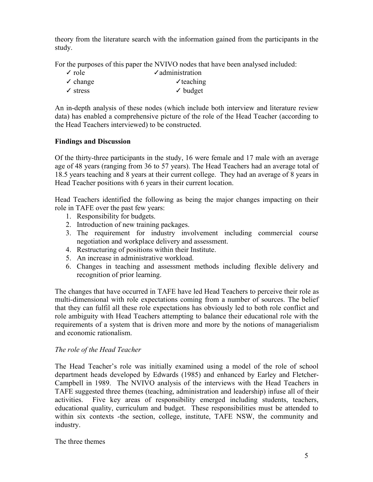theory from the literature search with the information gained from the participants in the study.

For the purposes of this paper the NVIVO nodes that have been analysed included:

| $\sqrt{\text{role}}$   | $\sqrt{\ }$ administration |
|------------------------|----------------------------|
| $\checkmark$ change    | $\checkmark$ teaching      |
| $\sqrt{\text{stress}}$ | $\checkmark$ budget        |

An in-depth analysis of these nodes (which include both interview and literature review data) has enabled a comprehensive picture of the role of the Head Teacher (according to the Head Teachers interviewed) to be constructed.

# **Findings and Discussion**

Of the thirty-three participants in the study, 16 were female and 17 male with an average age of 48 years (ranging from 36 to 57 years). The Head Teachers had an average total of 18.5 years teaching and 8 years at their current college. They had an average of 8 years in Head Teacher positions with 6 years in their current location.

Head Teachers identified the following as being the major changes impacting on their role in TAFE over the past few years:

- 1. Responsibility for budgets.
- 2. Introduction of new training packages.
- 3. The requirement for industry involvement including commercial course negotiation and workplace delivery and assessment.
- 4. Restructuring of positions within their Institute.
- 5. An increase in administrative workload.
- 6. Changes in teaching and assessment methods including flexible delivery and recognition of prior learning.

The changes that have occurred in TAFE have led Head Teachers to perceive their role as multi-dimensional with role expectations coming from a number of sources. The belief that they can fulfil all these role expectations has obviously led to both role conflict and role ambiguity with Head Teachers attempting to balance their educational role with the requirements of a system that is driven more and more by the notions of managerialism and economic rationalism.

# *The role of the Head Teacher*

The Head Teacher's role was initially examined using a model of the role of school department heads developed by Edwards (1985) and enhanced by Earley and Fletcher-Campbell in 1989. The NVIVO analysis of the interviews with the Head Teachers in TAFE suggested three themes (teaching, administration and leadership) infuse all of their activities. Five key areas of responsibility emerged including students, teachers, educational quality, curriculum and budget. These responsibilities must be attended to within six contexts -the section, college, institute, TAFE NSW, the community and industry.

The three themes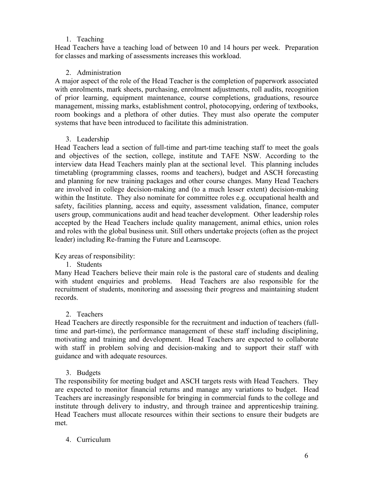# 1. Teaching

Head Teachers have a teaching load of between 10 and 14 hours per week. Preparation for classes and marking of assessments increases this workload.

# 2. Administration

A major aspect of the role of the Head Teacher is the completion of paperwork associated with enrolments, mark sheets, purchasing, enrolment adjustments, roll audits, recognition of prior learning, equipment maintenance, course completions, graduations, resource management, missing marks, establishment control, photocopying, ordering of textbooks, room bookings and a plethora of other duties. They must also operate the computer systems that have been introduced to facilitate this administration.

# 3. Leadership

Head Teachers lead a section of full-time and part-time teaching staff to meet the goals and objectives of the section, college, institute and TAFE NSW. According to the interview data Head Teachers mainly plan at the sectional level. This planning includes timetabling (programming classes, rooms and teachers), budget and ASCH forecasting and planning for new training packages and other course changes. Many Head Teachers are involved in college decision-making and (to a much lesser extent) decision-making within the Institute. They also nominate for committee roles e.g. occupational health and safety, facilities planning, access and equity, assessment validation, finance, computer users group, communications audit and head teacher development. Other leadership roles accepted by the Head Teachers include quality management, animal ethics, union roles and roles with the global business unit. Still others undertake projects (often as the project leader) including Re-framing the Future and Learnscope.

Key areas of responsibility:

1. Students

Many Head Teachers believe their main role is the pastoral care of students and dealing with student enquiries and problems. Head Teachers are also responsible for the recruitment of students, monitoring and assessing their progress and maintaining student records.

# 2. Teachers

Head Teachers are directly responsible for the recruitment and induction of teachers (fulltime and part-time), the performance management of these staff including disciplining, motivating and training and development. Head Teachers are expected to collaborate with staff in problem solving and decision-making and to support their staff with guidance and with adequate resources.

3. Budgets

The responsibility for meeting budget and ASCH targets rests with Head Teachers. They are expected to monitor financial returns and manage any variations to budget. Head Teachers are increasingly responsible for bringing in commercial funds to the college and institute through delivery to industry, and through trainee and apprenticeship training. Head Teachers must allocate resources within their sections to ensure their budgets are met.

# 4. Curriculum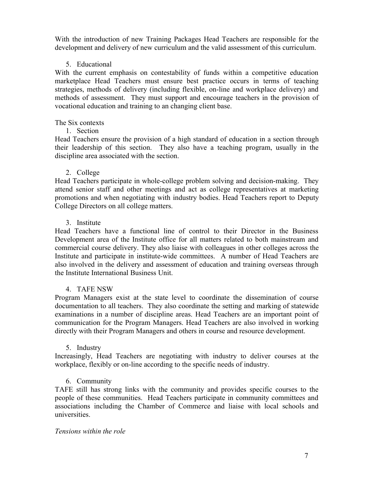With the introduction of new Training Packages Head Teachers are responsible for the development and delivery of new curriculum and the valid assessment of this curriculum.

### 5. Educational

With the current emphasis on contestability of funds within a competitive education marketplace Head Teachers must ensure best practice occurs in terms of teaching strategies, methods of delivery (including flexible, on-line and workplace delivery) and methods of assessment. They must support and encourage teachers in the provision of vocational education and training to an changing client base.

### The Six contexts

1. Section

Head Teachers ensure the provision of a high standard of education in a section through their leadership of this section. They also have a teaching program, usually in the discipline area associated with the section.

### 2. College

Head Teachers participate in whole-college problem solving and decision-making. They attend senior staff and other meetings and act as college representatives at marketing promotions and when negotiating with industry bodies. Head Teachers report to Deputy College Directors on all college matters.

### 3. Institute

Head Teachers have a functional line of control to their Director in the Business Development area of the Institute office for all matters related to both mainstream and commercial course delivery. They also liaise with colleagues in other colleges across the Institute and participate in institute-wide committees. A number of Head Teachers are also involved in the delivery and assessment of education and training overseas through the Institute International Business Unit.

# 4. TAFE NSW

Program Managers exist at the state level to coordinate the dissemination of course documentation to all teachers. They also coordinate the setting and marking of statewide examinations in a number of discipline areas. Head Teachers are an important point of communication for the Program Managers. Head Teachers are also involved in working directly with their Program Managers and others in course and resource development.

#### 5. Industry

Increasingly, Head Teachers are negotiating with industry to deliver courses at the workplace, flexibly or on-line according to the specific needs of industry.

# 6. Community

TAFE still has strong links with the community and provides specific courses to the people of these communities. Head Teachers participate in community committees and associations including the Chamber of Commerce and liaise with local schools and universities.

#### *Tensions within the role*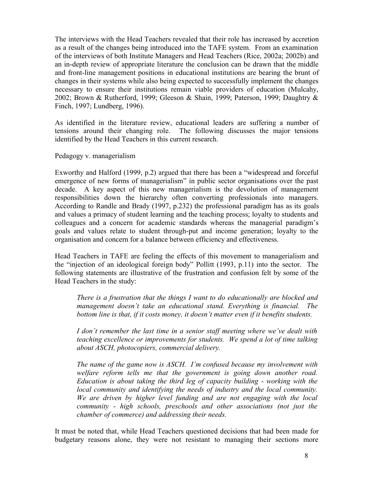The interviews with the Head Teachers revealed that their role has increased by accretion as a result of the changes being introduced into the TAFE system. From an examination of the interviews of both Institute Managers and Head Teachers (Rice, 2002a; 2002b) and an in-depth review of appropriate literature the conclusion can be drawn that the middle and front-line management positions in educational institutions are bearing the brunt of changes in their systems while also being expected to successfully implement the changes necessary to ensure their institutions remain viable providers of education (Mulcahy, 2002; Brown & Rutherford, 1999; Gleeson & Shain, 1999; Paterson, 1999; Daughtry & Finch, 1997; Lundberg, 1996).

As identified in the literature review, educational leaders are suffering a number of tensions around their changing role. The following discusses the major tensions identified by the Head Teachers in this current research.

Pedagogy v. managerialism

Exworthy and Halford (1999, p.2) argued that there has been a "widespread and forceful emergence of new forms of managerialism" in public sector organisations over the past decade. A key aspect of this new managerialism is the devolution of management responsibilities down the hierarchy often converting professionals into managers. According to Randle and Brady (1997, p.232) the professional paradigm has as its goals and values a primacy of student learning and the teaching process; loyalty to students and colleagues and a concern for academic standards whereas the managerial paradigm's goals and values relate to student through-put and income generation; loyalty to the organisation and concern for a balance between efficiency and effectiveness.

Head Teachers in TAFE are feeling the effects of this movement to managerialism and the "injection of an ideological foreign body" Pollitt (1993, p.11) into the sector. The following statements are illustrative of the frustration and confusion felt by some of the Head Teachers in the study:

*There is a frustration that the things I want to do educationally are blocked and management doesn't take an educational stand. Everything is financial. The bottom line is that, if it costs money, it doesn't matter even if it benefits students.*

*I don't remember the last time in a senior staff meeting where we've dealt with teaching excellence or improvements for students. We spend a lot of time talking about ASCH, photocopiers, commercial delivery.*

*The name of the game now is ASCH. I'm confused because my involvement with welfare reform tells me that the government is going down another road. Education is about taking the third leg of capacity building - working with the local community and identifying the needs of industry and the local community. We are driven by higher level funding and are not engaging with the local community - high schools, preschools and other associations (not just the chamber of commerce) and addressing their needs.*

It must be noted that, while Head Teachers questioned decisions that had been made for budgetary reasons alone, they were not resistant to managing their sections more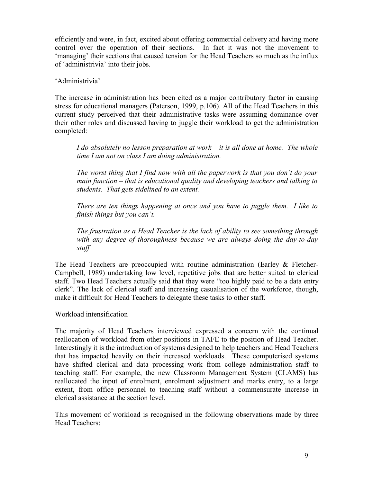efficiently and were, in fact, excited about offering commercial delivery and having more control over the operation of their sections. In fact it was not the movement to 'managing' their sections that caused tension for the Head Teachers so much as the influx of 'administrivia' into their jobs.

### 'Administrivia'

The increase in administration has been cited as a major contributory factor in causing stress for educational managers (Paterson, 1999, p.106). All of the Head Teachers in this current study perceived that their administrative tasks were assuming dominance over their other roles and discussed having to juggle their workload to get the administration completed:

*I do absolutely no lesson preparation at work – it is all done at home. The whole time I am not on class I am doing administration.*

*The worst thing that I find now with all the paperwork is that you don't do your main function – that is educational quality and developing teachers and talking to students. That gets sidelined to an extent.*

*There are ten things happening at once and you have to juggle them. I like to finish things but you can't.*

*The frustration as a Head Teacher is the lack of ability to see something through with any degree of thoroughness because we are always doing the day-to-day stuff*

The Head Teachers are preoccupied with routine administration (Earley & Fletcher-Campbell, 1989) undertaking low level, repetitive jobs that are better suited to clerical staff. Two Head Teachers actually said that they were "too highly paid to be a data entry clerk". The lack of clerical staff and increasing casualisation of the workforce, though, make it difficult for Head Teachers to delegate these tasks to other staff.

Workload intensification

The majority of Head Teachers interviewed expressed a concern with the continual reallocation of workload from other positions in TAFE to the position of Head Teacher. Interestingly it is the introduction of systems designed to help teachers and Head Teachers that has impacted heavily on their increased workloads. These computerised systems have shifted clerical and data processing work from college administration staff to teaching staff. For example, the new Classroom Management System (CLAMS) has reallocated the input of enrolment, enrolment adjustment and marks entry, to a large extent, from office personnel to teaching staff without a commensurate increase in clerical assistance at the section level.

This movement of workload is recognised in the following observations made by three Head Teachers: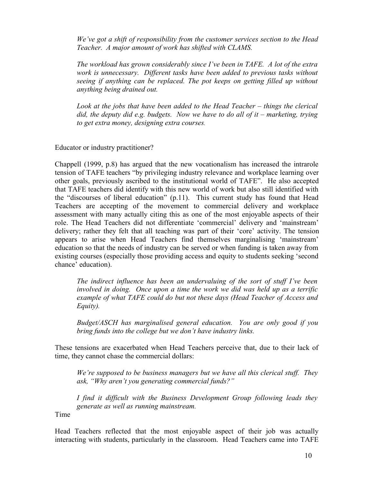*We've got a shift of responsibility from the customer services section to the Head Teacher. A major amount of work has shifted with CLAMS.*

*The workload has grown considerably since I've been in TAFE. A lot of the extra work is unnecessary. Different tasks have been added to previous tasks without seeing if anything can be replaced. The pot keeps on getting filled up without anything being drained out.*

*Look at the jobs that have been added to the Head Teacher – things the clerical did, the deputy did e.g. budgets. Now we have to do all of it – marketing, trying to get extra money, designing extra courses.*

Educator or industry practitioner?

Chappell (1999, p.8) has argued that the new vocationalism has increased the intrarole tension of TAFE teachers "by privileging industry relevance and workplace learning over other goals, previously ascribed to the institutional world of TAFE". He also accepted that TAFE teachers did identify with this new world of work but also still identified with the "discourses of liberal education" (p.11). This current study has found that Head Teachers are accepting of the movement to commercial delivery and workplace assessment with many actually citing this as one of the most enjoyable aspects of their role. The Head Teachers did not differentiate 'commercial' delivery and 'mainstream' delivery; rather they felt that all teaching was part of their 'core' activity. The tension appears to arise when Head Teachers find themselves marginalising 'mainstream' education so that the needs of industry can be served or when funding is taken away from existing courses (especially those providing access and equity to students seeking 'second chance' education).

*The indirect influence has been an undervaluing of the sort of stuff I've been involved in doing. Once upon a time the work we did was held up as a terrific example of what TAFE could do but not these days (Head Teacher of Access and Equity).*

*Budget/ASCH has marginalised general education. You are only good if you bring funds into the college but we don't have industry links.*

These tensions are exacerbated when Head Teachers perceive that, due to their lack of time, they cannot chase the commercial dollars:

*We're supposed to be business managers but we have all this clerical stuff. They ask, "Why aren't you generating commercial funds?"*

*I find it difficult with the Business Development Group following leads they generate as well as running mainstream.*

Time

Head Teachers reflected that the most enjoyable aspect of their job was actually interacting with students, particularly in the classroom. Head Teachers came into TAFE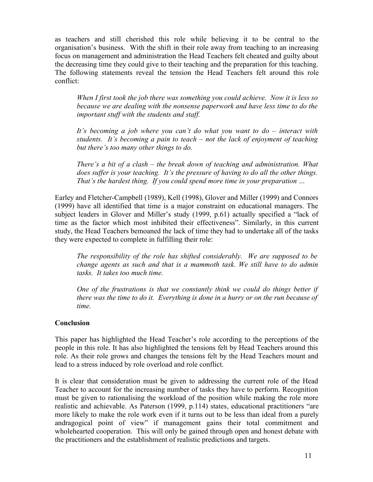as teachers and still cherished this role while believing it to be central to the organisation's business. With the shift in their role away from teaching to an increasing focus on management and administration the Head Teachers felt cheated and guilty about the decreasing time they could give to their teaching and the preparation for this teaching. The following statements reveal the tension the Head Teachers felt around this role conflict:

*When I first took the job there was something you could achieve. Now it is less so because we are dealing with the nonsense paperwork and have less time to do the important stuff with the students and staff.*

*It's becoming a job where you can't do what you want to do – interact with students. It's becoming a pain to teach – not the lack of enjoyment of teaching but there's too many other things to do.*

*There's a bit of a clash – the break down of teaching and administration. What does suffer is your teaching. It's the pressure of having to do all the other things. That's the hardest thing. If you could spend more time in your preparation …*

Earley and Fletcher-Campbell (1989), Kell (1998), Glover and Miller (1999) and Connors (1999) have all identified that time is a major constraint on educational managers. The subject leaders in Glover and Miller's study (1999, p.61) actually specified a "lack of time as the factor which most inhibited their effectiveness". Similarly, in this current study, the Head Teachers bemoaned the lack of time they had to undertake all of the tasks they were expected to complete in fulfilling their role:

*The responsibility of the role has shifted considerably. We are supposed to be change agents as such and that is a mammoth task. We still have to do admin tasks. It takes too much time.*

*One of the frustrations is that we constantly think we could do things better if there was the time to do it. Everything is done in a hurry or on the run because of time.*

#### **Conclusion**

This paper has highlighted the Head Teacher's role according to the perceptions of the people in this role. It has also highlighted the tensions felt by Head Teachers around this role. As their role grows and changes the tensions felt by the Head Teachers mount and lead to a stress induced by role overload and role conflict.

It is clear that consideration must be given to addressing the current role of the Head Teacher to account for the increasing number of tasks they have to perform. Recognition must be given to rationalising the workload of the position while making the role more realistic and achievable. As Paterson (1999, p.114) states, educational practitioners "are more likely to make the role work even if it turns out to be less than ideal from a purely andragogical point of view" if management gains their total commitment and wholehearted cooperation. This will only be gained through open and honest debate with the practitioners and the establishment of realistic predictions and targets.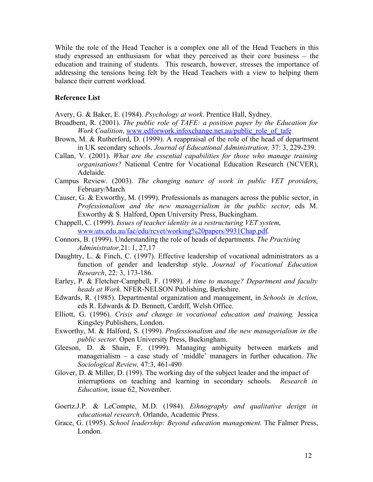While the role of the Head Teacher is a complex one all of the Head Teachers in this study expressed an enthusiasm for what they perceived as their core business – the education and training of students. This research, however, stresses the importance of addressing the tensions being felt by the Head Teachers with a view to helping them balance their current workload.

#### **Reference List**

Avery, G. & Baker, E. (1984). *Psychology at work*. Prentice Hall, Sydney.

- Broadbent, R. (2001). *The public role of TAFE: a position paper by the Education for Work Coalition*, www.edforwork.infoxchange.net.au/public\_role\_of\_tafe
- Brown, M. & Rutherford, D. (1999). A reappraisal of the role of the head of department in UK secondary schools. *Journal of Educational Administration,* 37: 3, 229-239.
- Callan, V. (2001). *What are the essential capabilities for those who manage training organisations?* National Centre for Vocational Education Research (NCVER), Adelaide.
- Campus Review. (2003). *The changing nature of work in public VET providers*, February/March
- Causer, G. & Exworthy, M. (1999). Professionals as managers across the public sector, in *Professionalism and the new managerialism in the public sector,* eds M. Exworthy & S. Halford, Open University Press, Buckingham.
- Chappell, C. (1999). *Issues of teacher identity in a restructuring VET system*, www.uts.edu.au/fac/edu/rcvet/working%20papers/9931Chap.pdf.
- Connors, B. (1999). Understanding the role of heads of departments. *The Practising Administrator,*21: 1, 27,17
- Daughtry, L. & Finch, C. (1997). Effective leadership of vocational administrators as a function of gender and leadership style. *Journal of Vocational Education Research*, 22: 3, 173-186.
- Earley, P. & Fletcher-Campbell, F. (1989). *A time to manage? Department and faculty heads at Work*. NFER-NELSON Publishing, Berkshire.
- Edwards, R. (1985). Departmental organization and management, in *Schools in Action*, eds R. Edwards & D. Bennett, Cardiff, Welsh Office.
- Elliott, G. (1996). *Crisis and change in vocational education and training.* Jessica Kingsley Publishers, London.
- Exworthy, M. & Halford, S. (1999). *Professionalism and the new managerialism in the public sector.* Open University Press, Buckingham.
- Gleeson, D. & Shain, F. (1999). Managing ambiguity between markets and managerialism – a case study of 'middle' managers in further education. *The Sociological Review,* 47:3, 461-490
- Glover, D. & Miller, D. (199). The working day of the subject leader and the impact of interruptions on teaching and learning in secondary schools. *Research in Education,* issue 62, November.
- Goertz.J.P. & LeCompte, M.D. (1984). *Ethnography and qualitative design in educational research*. Orlando, Academic Press.
- Grace, G. (1995). *School leadership: Beyond education management.* The Falmer Press, London.